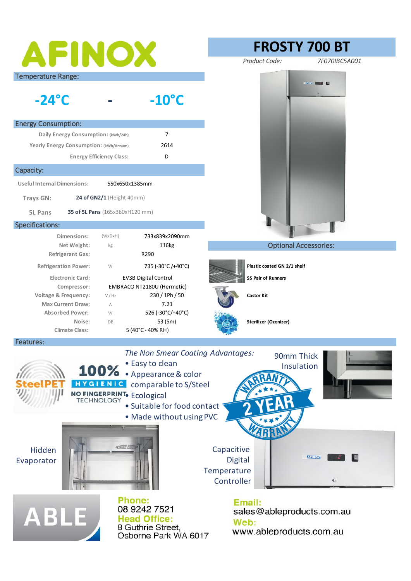| AFINOX                                                                                                                                                                                                                                      |                                                                                            | <b>FROSTY 700 BT</b>                                                            |
|---------------------------------------------------------------------------------------------------------------------------------------------------------------------------------------------------------------------------------------------|--------------------------------------------------------------------------------------------|---------------------------------------------------------------------------------|
|                                                                                                                                                                                                                                             |                                                                                            | Product Code:<br>7F070IBC5A001                                                  |
| <b>Temperature Range:</b><br>$-24^\circ$ C                                                                                                                                                                                                  | $-10^{\circ}$ C                                                                            | $\sim$ $\sim$ $\sim$                                                            |
| <b>Energy Consumption:</b>                                                                                                                                                                                                                  |                                                                                            |                                                                                 |
| Daily Energy Consumption: (kWh/24h)                                                                                                                                                                                                         | $\overline{7}$                                                                             |                                                                                 |
| Yearly Energy Consumption: (kWh/Annum)                                                                                                                                                                                                      | 2614                                                                                       |                                                                                 |
|                                                                                                                                                                                                                                             | <b>Energy Efficiency Class:</b><br>D                                                       |                                                                                 |
| Capacity:                                                                                                                                                                                                                                   |                                                                                            |                                                                                 |
| <b>Useful Internal Dimensions:</b><br>550x650x1385mm                                                                                                                                                                                        |                                                                                            |                                                                                 |
| 24 of GN2/1 (Height 40mm)<br><b>Trays GN:</b>                                                                                                                                                                                               |                                                                                            |                                                                                 |
| 35 of 5L Pans (165x360xH120 mm)<br><b>5L Pans</b>                                                                                                                                                                                           |                                                                                            |                                                                                 |
| Specifications:                                                                                                                                                                                                                             |                                                                                            |                                                                                 |
| Dimensions:                                                                                                                                                                                                                                 | $(W \times D \times H)$<br>733x839x2090mm                                                  |                                                                                 |
| Net Weight:                                                                                                                                                                                                                                 | 116kg<br>kg<br>R290                                                                        | <b>Optional Accessories:</b>                                                    |
| <b>Refrigerant Gas:</b><br><b>Refrigeration Power:</b>                                                                                                                                                                                      | 735 (-30°C/+40°C)<br>W                                                                     | Plastic coated GN 2/1 shelf                                                     |
| <b>Electronic Card:</b>                                                                                                                                                                                                                     | <b>EV3B Digital Control</b>                                                                | <b>SS Pair of Runners</b>                                                       |
| EMBRACO NT2180U (Hermetic)<br>Compressor:                                                                                                                                                                                                   |                                                                                            |                                                                                 |
| <b>Voltage &amp; Frequency:</b>                                                                                                                                                                                                             | 230 / 1Ph / 50<br>V / Hz                                                                   | <b>Castor Kit</b>                                                               |
| <b>Max Current Draw:</b>                                                                                                                                                                                                                    | 7.21<br>A                                                                                  |                                                                                 |
| <b>Absorbed Power:</b><br>Noise:                                                                                                                                                                                                            | 526 (-30°C/+40°C)<br>W<br>53 (5m)<br>DB                                                    | Sterilizer (Ozonizer)                                                           |
| <b>Climate Class:</b>                                                                                                                                                                                                                       | 5 (40°C - 40% RH)                                                                          |                                                                                 |
| Features:                                                                                                                                                                                                                                   |                                                                                            |                                                                                 |
| The Non Smear Coating Advantages:<br>90mm Thick<br>• Easy to clean<br>Insulation<br>100% • Appearance & color<br>HYGIENIC<br>comparable to S/Steel<br>NO FINGERPRINT. Ecological<br>· Suitable for food contact<br>. Made without using PVC |                                                                                            |                                                                                 |
| Hidden<br>Evaporator                                                                                                                                                                                                                        | Confer                                                                                     | Capacitive<br><b>AFINOX</b><br>Digital<br>Temperature<br>Controller<br>$\omega$ |
| <b>ABLE</b>                                                                                                                                                                                                                                 | Phone:<br>08 9242 7521<br><b>Head Office:</b><br>8 Guthrie Street,<br>Osborne Park WA 6017 | Email:<br>sales@ableproducts.com.au<br>Web:<br>www.ableproducts.com.au          |